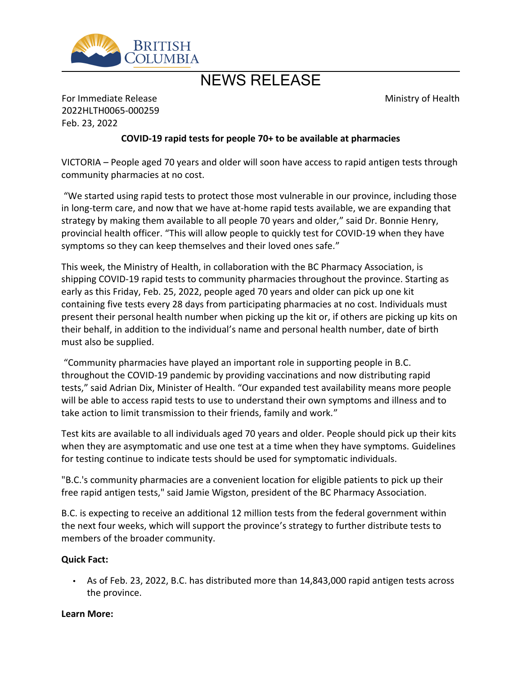

# NEWS RELEASE

Ministry of Health

For Immediate Release 2022HLTH0065-000259 Feb. 23, 2022

## **COVID-19 rapid tests for people 70+ to be available at pharmacies**

VICTORIA – People aged 70 years and older will soon have access to rapid antigen tests through community pharmacies at no cost.

͞We started using rapid tests to protect those most vulnerable in our province, including those in long-term care, and now that we have at-home rapid tests available, we are expanding that strategy by making them available to all people 70 years and older," said Dr. Bonnie Henry, provincial health officer. "This will allow people to quickly test for COVID-19 when they have symptoms so they can keep themselves and their loved ones safe."

This week, the Ministry of Health, in collaboration with the BC Pharmacy Association, is shipping COVID-19 rapid tests to community pharmacies throughout the province. Starting as early as this Friday, Feb. 25, 2022, people aged 70 years and older can pick up one kit containing five tests every 28 days from participating pharmacies at no cost. Individuals must present their personal health number when picking up the kit or, if others are picking up kits on their behalf, in addition to the individual's name and personal health number, date of birth must also be supplied.

͞Community pharmacies have played an important role in supporting people in B.C. throughout the COVID-19 pandemic by providing vaccinations and now distributing rapid tests," said Adrian Dix, Minister of Health. "Our expanded test availability means more people will be able to access rapid tests to use to understand their own symptoms and illness and to take action to limit transmission to their friends, family and work."

Test kits are available to all individuals aged 70 years and older. People should pick up their kits when they are asymptomatic and use one test at a time when they have symptoms. Guidelines for testing continue to indicate tests should be used for symptomatic individuals.

"B.C.'s community pharmacies are a convenient location for eligible patients to pick up their free rapid antigen tests," said Jamie Wigston, president of the BC Pharmacy Association.

B.C. is expecting to receive an additional 12 million tests from the federal government within the next four weeks, which will support the province's strategy to further distribute tests to members of the broader community.

#### **Quick Fact:**

 As of Feb. 23, 2022, B.C. has distributed more than 14,843,000 rapid antigen tests across the province.

#### **Learn More:**